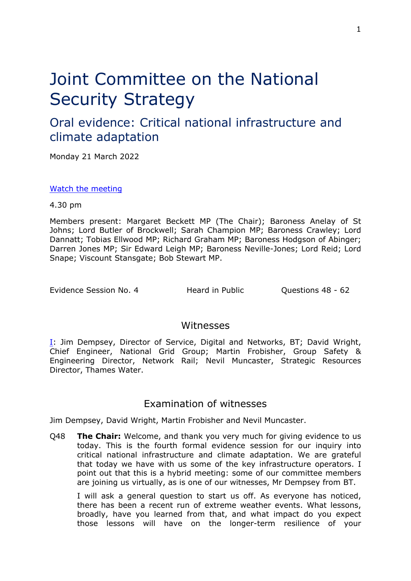# Joint Committee on the National Security Strategy

# Oral evidence: Critical national infrastructure and climate adaptation

Monday 21 March 2022

[Watch](https://parliamentlive.tv/Event/Index/0794886e-8f89-44c6-a562-1bf5ea6719ee) [the](https://parliamentlive.tv/Event/Index/0794886e-8f89-44c6-a562-1bf5ea6719ee) [meeting](https://parliamentlive.tv/Event/Index/0794886e-8f89-44c6-a562-1bf5ea6719ee)

4.30 pm

Members present: Margaret Beckett MP (The Chair); Baroness Anelay of St Johns; Lord Butler of Brockwell; Sarah Champion MP; Baroness Crawley; Lord Dannatt; Tobias Ellwood MP; Richard Graham MP; Baroness Hodgson of Abinger; Darren Jones MP; Sir Edward Leigh MP; Baroness Neville-Jones; Lord Reid; Lord Snape; Viscount Stansgate; Bob Stewart MP.

Evidence Session No. 4 **Heard in Public** Cuestions 48 - 62

### Witnesses

[I:](#page-0-0) Jim Dempsey, Director of Service, Digital and Networks, BT; David Wright, Chief Engineer, National Grid Group; Martin Frobisher, Group Safety & Engineering Director, Network Rail; Nevil Muncaster, Strategic Resources Director, Thames Water.

## <span id="page-0-0"></span>Examination of witnesses

Jim Dempsey, David Wright, Martin Frobisher and Nevil Muncaster.

Q48 **The Chair:** Welcome, and thank you very much for giving evidence to us today. This is the fourth formal evidence session for our inquiry into critical national infrastructure and climate adaptation. We are grateful that today we have with us some of the key infrastructure operators. I point out that this is a hybrid meeting: some of our committee members are joining us virtually, as is one of our witnesses, Mr Dempsey from BT.

I will ask a general question to start us off. As everyone has noticed, there has been a recent run of extreme weather events. What lessons, broadly, have you learned from that, and what impact do you expect those lessons will have on the longer-term resilience of your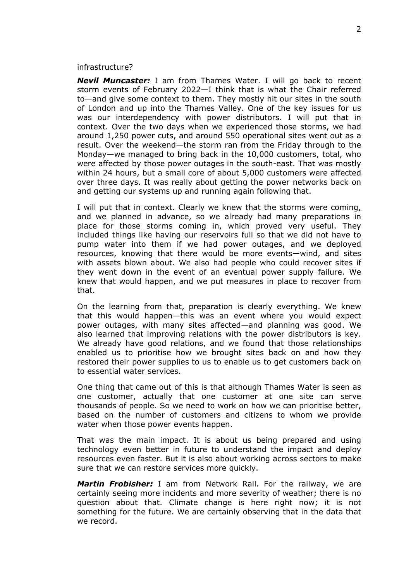#### infrastructure?

*Nevil Muncaster:* I am from Thames Water. I will go back to recent storm events of February 2022—I think that is what the Chair referred to—and give some context to them. They mostly hit our sites in the south of London and up into the Thames Valley. One of the key issues for us was our interdependency with power distributors. I will put that in context. Over the two days when we experienced those storms, we had around 1,250 power cuts, and around 550 operational sites went out as a result. Over the weekend—the storm ran from the Friday through to the Monday—we managed to bring back in the 10,000 customers, total, who were affected by those power outages in the south-east. That was mostly within 24 hours, but a small core of about 5,000 customers were affected over three days. It was really about getting the power networks back on and getting our systems up and running again following that.

I will put that in context. Clearly we knew that the storms were coming, and we planned in advance, so we already had many preparations in place for those storms coming in, which proved very useful. They included things like having our reservoirs full so that we did not have to pump water into them if we had power outages, and we deployed resources, knowing that there would be more events—wind, and sites with assets blown about. We also had people who could recover sites if they went down in the event of an eventual power supply failure. We knew that would happen, and we put measures in place to recover from that.

On the learning from that, preparation is clearly everything. We knew that this would happen—this was an event where you would expect power outages, with many sites affected—and planning was good. We also learned that improving relations with the power distributors is key. We already have good relations, and we found that those relationships enabled us to prioritise how we brought sites back on and how they restored their power supplies to us to enable us to get customers back on to essential water services.

One thing that came out of this is that although Thames Water is seen as one customer, actually that one customer at one site can serve thousands of people. So we need to work on how we can prioritise better, based on the number of customers and citizens to whom we provide water when those power events happen.

That was the main impact. It is about us being prepared and using technology even better in future to understand the impact and deploy resources even faster. But it is also about working across sectors to make sure that we can restore services more quickly.

*Martin Frobisher:* I am from Network Rail. For the railway, we are certainly seeing more incidents and more severity of weather; there is no question about that. Climate change is here right now; it is not something for the future. We are certainly observing that in the data that we record.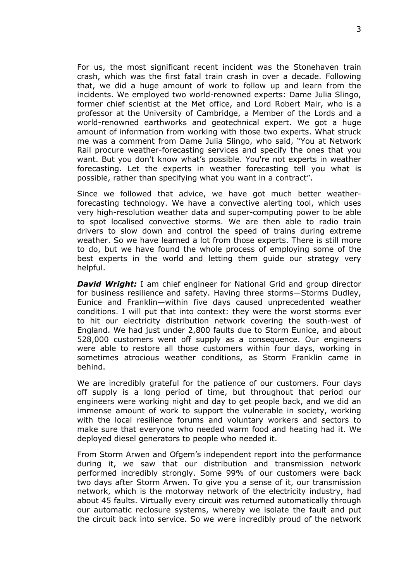For us, the most significant recent incident was the Stonehaven train crash, which was the first fatal train crash in over a decade. Following that, we did a huge amount of work to follow up and learn from the incidents. We employed two world-renowned experts: Dame Julia Slingo, former chief scientist at the Met office, and Lord Robert Mair, who is a professor at the University of Cambridge, a Member of the Lords and a world-renowned earthworks and geotechnical expert. We got a huge amount of information from working with those two experts. What struck me was a comment from Dame Julia Slingo, who said, "You at Network Rail procure weather-forecasting services and specify the ones that you want. But you don't know what's possible. You're not experts in weather forecasting. Let the experts in weather forecasting tell you what is possible, rather than specifying what you want in a contract".

Since we followed that advice, we have got much better weatherforecasting technology. We have a convective alerting tool, which uses very high-resolution weather data and super-computing power to be able to spot localised convective storms. We are then able to radio train drivers to slow down and control the speed of trains during extreme weather. So we have learned a lot from those experts. There is still more to do, but we have found the whole process of employing some of the best experts in the world and letting them guide our strategy very helpful.

*David Wright:* I am chief engineer for National Grid and group director for business resilience and safety. Having three storms—Storms Dudley, Eunice and Franklin—within five days caused unprecedented weather conditions. I will put that into context: they were the worst storms ever to hit our electricity distribution network covering the south-west of England. We had just under 2,800 faults due to Storm Eunice, and about 528,000 customers went off supply as a consequence. Our engineers were able to restore all those customers within four days, working in sometimes atrocious weather conditions, as Storm Franklin came in behind.

We are incredibly grateful for the patience of our customers. Four days off supply is a long period of time, but throughout that period our engineers were working night and day to get people back, and we did an immense amount of work to support the vulnerable in society, working with the local resilience forums and voluntary workers and sectors to make sure that everyone who needed warm food and heating had it. We deployed diesel generators to people who needed it.

From Storm Arwen and Ofgem's independent report into the performance during it, we saw that our distribution and transmission network performed incredibly strongly. Some 99% of our customers were back two days after Storm Arwen. To give you a sense of it, our transmission network, which is the motorway network of the electricity industry, had about 45 faults. Virtually every circuit was returned automatically through our automatic reclosure systems, whereby we isolate the fault and put the circuit back into service. So we were incredibly proud of the network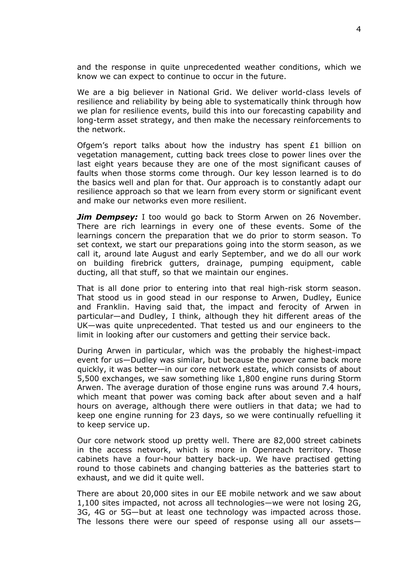and the response in quite unprecedented weather conditions, which we know we can expect to continue to occur in the future.

We are a big believer in National Grid. We deliver world-class levels of resilience and reliability by being able to systematically think through how we plan for resilience events, build this into our forecasting capability and long-term asset strategy, and then make the necessary reinforcements to the network.

Ofgem's report talks about how the industry has spent £1 billion on vegetation management, cutting back trees close to power lines over the last eight years because they are one of the most significant causes of faults when those storms come through. Our key lesson learned is to do the basics well and plan for that. Our approach is to constantly adapt our resilience approach so that we learn from every storm or significant event and make our networks even more resilient.

*Jim Dempsey:* I too would go back to Storm Arwen on 26 November. There are rich learnings in every one of these events. Some of the learnings concern the preparation that we do prior to storm season. To set context, we start our preparations going into the storm season, as we call it, around late August and early September, and we do all our work on building firebrick gutters, drainage, pumping equipment, cable ducting, all that stuff, so that we maintain our engines.

That is all done prior to entering into that real high-risk storm season. That stood us in good stead in our response to Arwen, Dudley, Eunice and Franklin. Having said that, the impact and ferocity of Arwen in particular—and Dudley, I think, although they hit different areas of the UK—was quite unprecedented. That tested us and our engineers to the limit in looking after our customers and getting their service back.

During Arwen in particular, which was the probably the highest-impact event for us—Dudley was similar, but because the power came back more quickly, it was better—in our core network estate, which consists of about 5,500 exchanges, we saw something like 1,800 engine runs during Storm Arwen. The average duration of those engine runs was around 7.4 hours, which meant that power was coming back after about seven and a half hours on average, although there were outliers in that data; we had to keep one engine running for 23 days, so we were continually refuelling it to keep service up.

Our core network stood up pretty well. There are 82,000 street cabinets in the access network, which is more in Openreach territory. Those cabinets have a four-hour battery back-up. We have practised getting round to those cabinets and changing batteries as the batteries start to exhaust, and we did it quite well.

There are about 20,000 sites in our EE mobile network and we saw about 1,100 sites impacted, not across all technologies—we were not losing 2G, 3G, 4G or 5G—but at least one technology was impacted across those. The lessons there were our speed of response using all our assets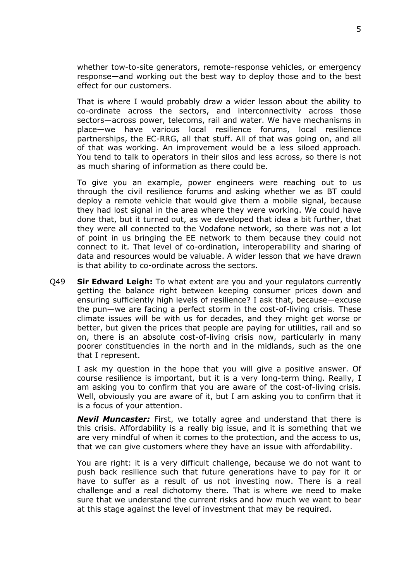whether tow-to-site generators, remote-response vehicles, or emergency response—and working out the best way to deploy those and to the best effect for our customers.

That is where I would probably draw a wider lesson about the ability to co-ordinate across the sectors, and interconnectivity across those sectors—across power, telecoms, rail and water. We have mechanisms in place—we have various local resilience forums, local resilience partnerships, the EC-RRG, all that stuff. All of that was going on, and all of that was working. An improvement would be a less siloed approach. You tend to talk to operators in their silos and less across, so there is not as much sharing of information as there could be.

To give you an example, power engineers were reaching out to us through the civil resilience forums and asking whether we as BT could deploy a remote vehicle that would give them a mobile signal, because they had lost signal in the area where they were working. We could have done that, but it turned out, as we developed that idea a bit further, that they were all connected to the Vodafone network, so there was not a lot of point in us bringing the EE network to them because they could not connect to it. That level of co-ordination, interoperability and sharing of data and resources would be valuable. A wider lesson that we have drawn is that ability to co-ordinate across the sectors.

Q49 **Sir Edward Leigh:** To what extent are you and your regulators currently getting the balance right between keeping consumer prices down and ensuring sufficiently high levels of resilience? I ask that, because—excuse the pun—we are facing a perfect storm in the cost-of-living crisis. These climate issues will be with us for decades, and they might get worse or better, but given the prices that people are paying for utilities, rail and so on, there is an absolute cost-of-living crisis now, particularly in many poorer constituencies in the north and in the midlands, such as the one that I represent.

I ask my question in the hope that you will give a positive answer. Of course resilience is important, but it is a very long-term thing. Really, I am asking you to confirm that you are aware of the cost-of-living crisis. Well, obviously you are aware of it, but I am asking you to confirm that it is a focus of your attention.

*Nevil Muncaster:* First, we totally agree and understand that there is this crisis. Affordability is a really big issue, and it is something that we are very mindful of when it comes to the protection, and the access to us, that we can give customers where they have an issue with affordability.

You are right: it is a very difficult challenge, because we do not want to push back resilience such that future generations have to pay for it or have to suffer as a result of us not investing now. There is a real challenge and a real dichotomy there. That is where we need to make sure that we understand the current risks and how much we want to bear at this stage against the level of investment that may be required.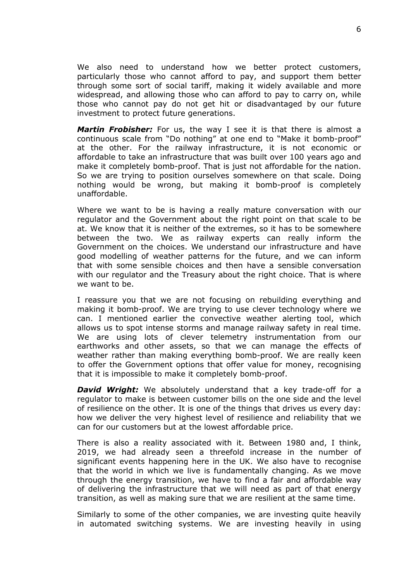We also need to understand how we better protect customers, particularly those who cannot afford to pay, and support them better through some sort of social tariff, making it widely available and more widespread, and allowing those who can afford to pay to carry on, while those who cannot pay do not get hit or disadvantaged by our future investment to protect future generations.

*Martin Frobisher:* For us, the way I see it is that there is almost a continuous scale from "Do nothing" at one end to "Make it bomb-proof" at the other. For the railway infrastructure, it is not economic or affordable to take an infrastructure that was built over 100 years ago and make it completely bomb-proof. That is just not affordable for the nation. So we are trying to position ourselves somewhere on that scale. Doing nothing would be wrong, but making it bomb-proof is completely unaffordable.

Where we want to be is having a really mature conversation with our regulator and the Government about the right point on that scale to be at. We know that it is neither of the extremes, so it has to be somewhere between the two. We as railway experts can really inform the Government on the choices. We understand our infrastructure and have good modelling of weather patterns for the future, and we can inform that with some sensible choices and then have a sensible conversation with our regulator and the Treasury about the right choice. That is where we want to be.

I reassure you that we are not focusing on rebuilding everything and making it bomb-proof. We are trying to use clever technology where we can. I mentioned earlier the convective weather alerting tool, which allows us to spot intense storms and manage railway safety in real time. We are using lots of clever telemetry instrumentation from our earthworks and other assets, so that we can manage the effects of weather rather than making everything bomb-proof. We are really keen to offer the Government options that offer value for money, recognising that it is impossible to make it completely bomb-proof.

*David Wright:* We absolutely understand that a key trade-off for a regulator to make is between customer bills on the one side and the level of resilience on the other. It is one of the things that drives us every day: how we deliver the very highest level of resilience and reliability that we can for our customers but at the lowest affordable price.

There is also a reality associated with it. Between 1980 and, I think, 2019, we had already seen a threefold increase in the number of significant events happening here in the UK. We also have to recognise that the world in which we live is fundamentally changing. As we move through the energy transition, we have to find a fair and affordable way of delivering the infrastructure that we will need as part of that energy transition, as well as making sure that we are resilient at the same time.

Similarly to some of the other companies, we are investing quite heavily in automated switching systems. We are investing heavily in using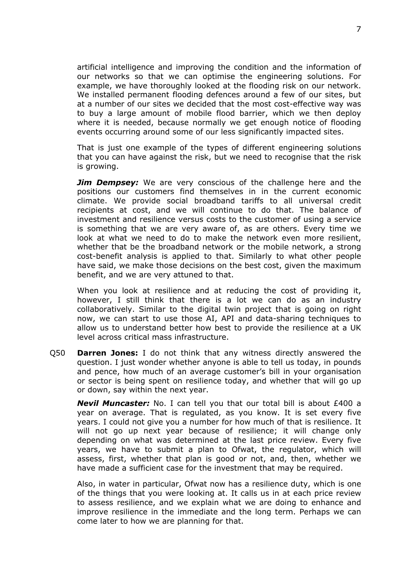artificial intelligence and improving the condition and the information of our networks so that we can optimise the engineering solutions. For example, we have thoroughly looked at the flooding risk on our network. We installed permanent flooding defences around a few of our sites, but at a number of our sites we decided that the most cost-effective way was to buy a large amount of mobile flood barrier, which we then deploy where it is needed, because normally we get enough notice of flooding events occurring around some of our less significantly impacted sites.

That is just one example of the types of different engineering solutions that you can have against the risk, but we need to recognise that the risk is growing.

*Jim Dempsey:* We are very conscious of the challenge here and the positions our customers find themselves in in the current economic climate. We provide social broadband tariffs to all universal credit recipients at cost, and we will continue to do that. The balance of investment and resilience versus costs to the customer of using a service is something that we are very aware of, as are others. Every time we look at what we need to do to make the network even more resilient, whether that be the broadband network or the mobile network, a strong cost-benefit analysis is applied to that. Similarly to what other people have said, we make those decisions on the best cost, given the maximum benefit, and we are very attuned to that.

When you look at resilience and at reducing the cost of providing it, however, I still think that there is a lot we can do as an industry collaboratively. Similar to the digital twin project that is going on right now, we can start to use those AI, API and data-sharing techniques to allow us to understand better how best to provide the resilience at a UK level across critical mass infrastructure.

Q50 **Darren Jones:** I do not think that any witness directly answered the question. I just wonder whether anyone is able to tell us today, in pounds and pence, how much of an average customer's bill in your organisation or sector is being spent on resilience today, and whether that will go up or down, say within the next year.

*Nevil Muncaster:* No. I can tell you that our total bill is about £400 a year on average. That is regulated, as you know. It is set every five years. I could not give you a number for how much of that is resilience. It will not go up next year because of resilience; it will change only depending on what was determined at the last price review. Every five years, we have to submit a plan to Ofwat, the regulator, which will assess, first, whether that plan is good or not, and, then, whether we have made a sufficient case for the investment that may be required.

Also, in water in particular, Ofwat now has a resilience duty, which is one of the things that you were looking at. It calls us in at each price review to assess resilience, and we explain what we are doing to enhance and improve resilience in the immediate and the long term. Perhaps we can come later to how we are planning for that.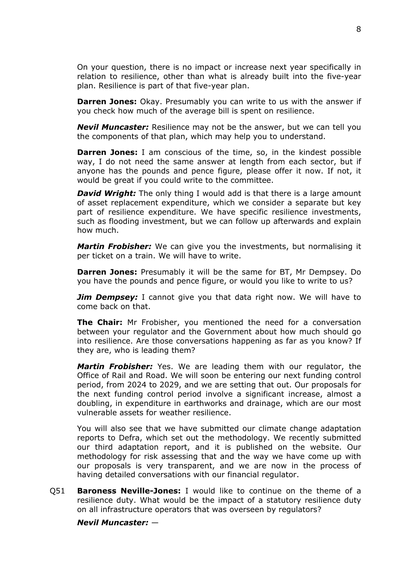On your question, there is no impact or increase next year specifically in relation to resilience, other than what is already built into the five-year plan. Resilience is part of that five-year plan.

**Darren Jones:** Okay. Presumably you can write to us with the answer if you check how much of the average bill is spent on resilience.

*Nevil Muncaster:* Resilience may not be the answer, but we can tell you the components of that plan, which may help you to understand.

**Darren Jones:** I am conscious of the time, so, in the kindest possible way, I do not need the same answer at length from each sector, but if anyone has the pounds and pence figure, please offer it now. If not, it would be great if you could write to the committee.

*David Wright:* The only thing I would add is that there is a large amount of asset replacement expenditure, which we consider a separate but key part of resilience expenditure. We have specific resilience investments, such as flooding investment, but we can follow up afterwards and explain how much.

*Martin Frobisher:* We can give you the investments, but normalising it per ticket on a train. We will have to write.

**Darren Jones:** Presumably it will be the same for BT, Mr Dempsey. Do you have the pounds and pence figure, or would you like to write to us?

*Jim Dempsey:* I cannot give you that data right now. We will have to come back on that.

**The Chair:** Mr Frobisher, you mentioned the need for a conversation between your regulator and the Government about how much should go into resilience. Are those conversations happening as far as you know? If they are, who is leading them?

*Martin Frobisher:* Yes. We are leading them with our regulator, the Office of Rail and Road. We will soon be entering our next funding control period, from 2024 to 2029, and we are setting that out. Our proposals for the next funding control period involve a significant increase, almost a doubling, in expenditure in earthworks and drainage, which are our most vulnerable assets for weather resilience.

You will also see that we have submitted our climate change adaptation reports to Defra, which set out the methodology. We recently submitted our third adaptation report, and it is published on the website. Our methodology for risk assessing that and the way we have come up with our proposals is very transparent, and we are now in the process of having detailed conversations with our financial regulator.

Q51 **Baroness Neville-Jones:** I would like to continue on the theme of a resilience duty. What would be the impact of a statutory resilience duty on all infrastructure operators that was overseen by regulators?

*Nevil Muncaster:* —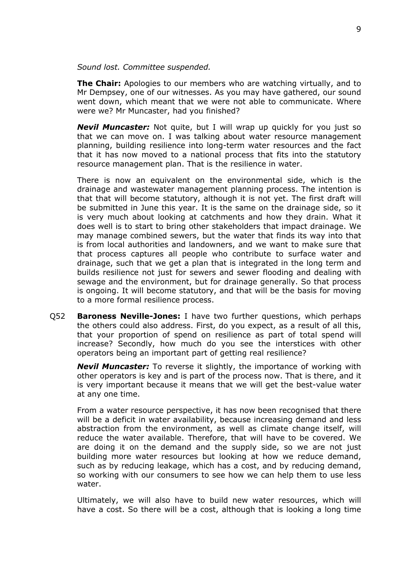#### *Sound lost. Committee suspended.*

**The Chair:** Apologies to our members who are watching virtually, and to Mr Dempsey, one of our witnesses. As you may have gathered, our sound went down, which meant that we were not able to communicate. Where were we? Mr Muncaster, had you finished?

*Nevil Muncaster:* Not quite, but I will wrap up quickly for you just so that we can move on. I was talking about water resource management planning, building resilience into long-term water resources and the fact that it has now moved to a national process that fits into the statutory resource management plan. That is the resilience in water.

There is now an equivalent on the environmental side, which is the drainage and wastewater management planning process. The intention is that that will become statutory, although it is not yet. The first draft will be submitted in June this year. It is the same on the drainage side, so it is very much about looking at catchments and how they drain. What it does well is to start to bring other stakeholders that impact drainage. We may manage combined sewers, but the water that finds its way into that is from local authorities and landowners, and we want to make sure that that process captures all people who contribute to surface water and drainage, such that we get a plan that is integrated in the long term and builds resilience not just for sewers and sewer flooding and dealing with sewage and the environment, but for drainage generally. So that process is ongoing. It will become statutory, and that will be the basis for moving to a more formal resilience process.

Q52 **Baroness Neville-Jones:** I have two further questions, which perhaps the others could also address. First, do you expect, as a result of all this, that your proportion of spend on resilience as part of total spend will increase? Secondly, how much do you see the interstices with other operators being an important part of getting real resilience?

*Nevil Muncaster:* To reverse it slightly, the importance of working with other operators is key and is part of the process now. That is there, and it is very important because it means that we will get the best-value water at any one time.

From a water resource perspective, it has now been recognised that there will be a deficit in water availability, because increasing demand and less abstraction from the environment, as well as climate change itself, will reduce the water available. Therefore, that will have to be covered. We are doing it on the demand and the supply side, so we are not just building more water resources but looking at how we reduce demand, such as by reducing leakage, which has a cost, and by reducing demand, so working with our consumers to see how we can help them to use less water.

Ultimately, we will also have to build new water resources, which will have a cost. So there will be a cost, although that is looking a long time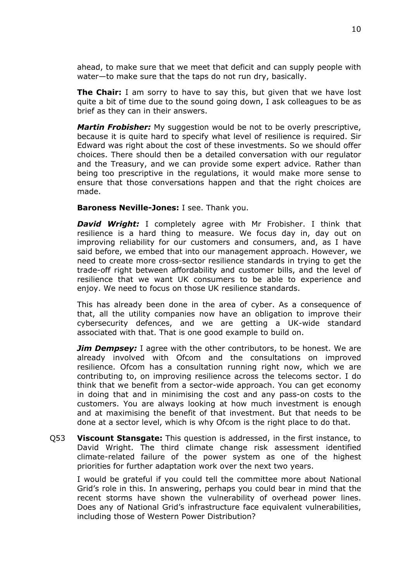ahead, to make sure that we meet that deficit and can supply people with water—to make sure that the taps do not run dry, basically.

**The Chair:** I am sorry to have to say this, but given that we have lost quite a bit of time due to the sound going down, I ask colleagues to be as brief as they can in their answers.

*Martin Frobisher:* My suggestion would be not to be overly prescriptive, because it is quite hard to specify what level of resilience is required. Sir Edward was right about the cost of these investments. So we should offer choices. There should then be a detailed conversation with our regulator and the Treasury, and we can provide some expert advice. Rather than being too prescriptive in the regulations, it would make more sense to ensure that those conversations happen and that the right choices are made.

**Baroness Neville-Jones:** I see. Thank you.

*David Wright:* I completely agree with Mr Frobisher. I think that resilience is a hard thing to measure. We focus day in, day out on improving reliability for our customers and consumers, and, as I have said before, we embed that into our management approach. However, we need to create more cross-sector resilience standards in trying to get the trade-off right between affordability and customer bills, and the level of resilience that we want UK consumers to be able to experience and enjoy. We need to focus on those UK resilience standards.

This has already been done in the area of cyber. As a consequence of that, all the utility companies now have an obligation to improve their cybersecurity defences, and we are getting a UK-wide standard associated with that. That is one good example to build on.

*Jim Dempsey:* I agree with the other contributors, to be honest. We are already involved with Ofcom and the consultations on improved resilience. Ofcom has a consultation running right now, which we are contributing to, on improving resilience across the telecoms sector. I do think that we benefit from a sector-wide approach. You can get economy in doing that and in minimising the cost and any pass-on costs to the customers. You are always looking at how much investment is enough and at maximising the benefit of that investment. But that needs to be done at a sector level, which is why Ofcom is the right place to do that.

Q53 **Viscount Stansgate:** This question is addressed, in the first instance, to David Wright. The third climate change risk assessment identified climate-related failure of the power system as one of the highest priorities for further adaptation work over the next two years.

I would be grateful if you could tell the committee more about National Grid's role in this. In answering, perhaps you could bear in mind that the recent storms have shown the vulnerability of overhead power lines. Does any of National Grid's infrastructure face equivalent vulnerabilities, including those of Western Power Distribution?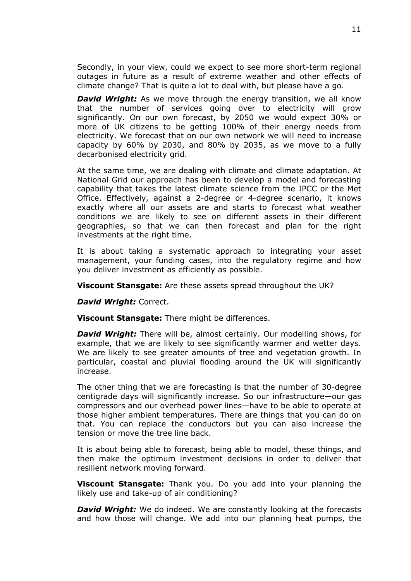Secondly, in your view, could we expect to see more short-term regional outages in future as a result of extreme weather and other effects of climate change? That is quite a lot to deal with, but please have a go.

*David Wright:* As we move through the energy transition, we all know that the number of services going over to electricity will grow significantly. On our own forecast, by 2050 we would expect 30% or more of UK citizens to be getting 100% of their energy needs from electricity. We forecast that on our own network we will need to increase capacity by 60% by 2030, and 80% by 2035, as we move to a fully decarbonised electricity grid.

At the same time, we are dealing with climate and climate adaptation. At National Grid our approach has been to develop a model and forecasting capability that takes the latest climate science from the IPCC or the Met Office. Effectively, against a 2-degree or 4-degree scenario, it knows exactly where all our assets are and starts to forecast what weather conditions we are likely to see on different assets in their different geographies, so that we can then forecast and plan for the right investments at the right time.

It is about taking a systematic approach to integrating your asset management, your funding cases, into the regulatory regime and how you deliver investment as efficiently as possible.

**Viscount Stansgate:** Are these assets spread throughout the UK?

*David Wright:* Correct.

**Viscount Stansgate:** There might be differences.

*David Wright:* There will be, almost certainly. Our modelling shows, for example, that we are likely to see significantly warmer and wetter days. We are likely to see greater amounts of tree and vegetation growth. In particular, coastal and pluvial flooding around the UK will significantly increase.

The other thing that we are forecasting is that the number of 30-degree centigrade days will significantly increase. So our infrastructure—our gas compressors and our overhead power lines—have to be able to operate at those higher ambient temperatures. There are things that you can do on that. You can replace the conductors but you can also increase the tension or move the tree line back.

It is about being able to forecast, being able to model, these things, and then make the optimum investment decisions in order to deliver that resilient network moving forward.

**Viscount Stansgate:** Thank you. Do you add into your planning the likely use and take-up of air conditioning?

*David Wright:* We do indeed. We are constantly looking at the forecasts and how those will change. We add into our planning heat pumps, the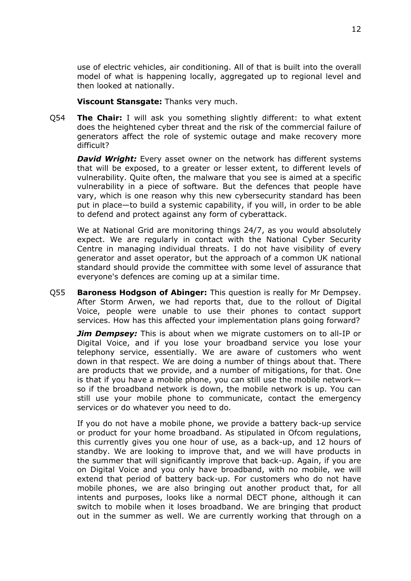use of electric vehicles, air conditioning. All of that is built into the overall model of what is happening locally, aggregated up to regional level and then looked at nationally.

**Viscount Stansgate:** Thanks very much.

Q54 **The Chair:** I will ask you something slightly different: to what extent does the heightened cyber threat and the risk of the commercial failure of generators affect the role of systemic outage and make recovery more difficult?

*David Wright:* Every asset owner on the network has different systems that will be exposed, to a greater or lesser extent, to different levels of vulnerability. Quite often, the malware that you see is aimed at a specific vulnerability in a piece of software. But the defences that people have vary, which is one reason why this new cybersecurity standard has been put in place—to build a systemic capability, if you will, in order to be able to defend and protect against any form of cyberattack.

We at National Grid are monitoring things 24/7, as you would absolutely expect. We are regularly in contact with the National Cyber Security Centre in managing individual threats. I do not have visibility of every generator and asset operator, but the approach of a common UK national standard should provide the committee with some level of assurance that everyone's defences are coming up at a similar time.

Q55 **Baroness Hodgson of Abinger:** This question is really for Mr Dempsey. After Storm Arwen, we had reports that, due to the rollout of Digital Voice, people were unable to use their phones to contact support services. How has this affected your implementation plans going forward?

*Jim Dempsey:* This is about when we migrate customers on to all-IP or Digital Voice, and if you lose your broadband service you lose your telephony service, essentially. We are aware of customers who went down in that respect. We are doing a number of things about that. There are products that we provide, and a number of mitigations, for that. One is that if you have a mobile phone, you can still use the mobile network so if the broadband network is down, the mobile network is up. You can still use your mobile phone to communicate, contact the emergency services or do whatever you need to do.

If you do not have a mobile phone, we provide a battery back-up service or product for your home broadband. As stipulated in Ofcom regulations, this currently gives you one hour of use, as a back-up, and 12 hours of standby. We are looking to improve that, and we will have products in the summer that will significantly improve that back-up. Again, if you are on Digital Voice and you only have broadband, with no mobile, we will extend that period of battery back-up. For customers who do not have mobile phones, we are also bringing out another product that, for all intents and purposes, looks like a normal DECT phone, although it can switch to mobile when it loses broadband. We are bringing that product out in the summer as well. We are currently working that through on a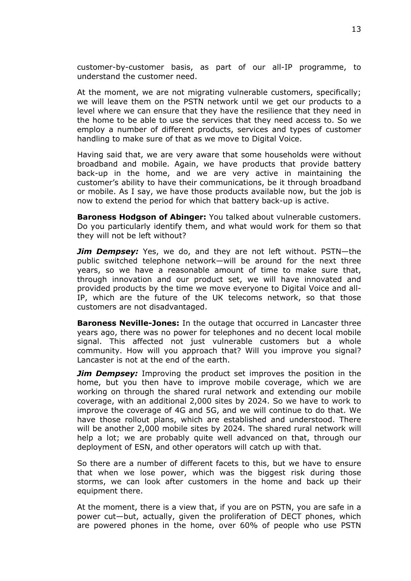customer-by-customer basis, as part of our all-IP programme, to understand the customer need.

At the moment, we are not migrating vulnerable customers, specifically; we will leave them on the PSTN network until we get our products to a level where we can ensure that they have the resilience that they need in the home to be able to use the services that they need access to. So we employ a number of different products, services and types of customer handling to make sure of that as we move to Digital Voice.

Having said that, we are very aware that some households were without broadband and mobile. Again, we have products that provide battery back-up in the home, and we are very active in maintaining the customer's ability to have their communications, be it through broadband or mobile. As I say, we have those products available now, but the job is now to extend the period for which that battery back-up is active.

**Baroness Hodgson of Abinger:** You talked about vulnerable customers. Do you particularly identify them, and what would work for them so that they will not be left without?

*Jim Dempsey:* Yes, we do, and they are not left without. PSTN—the public switched telephone network—will be around for the next three years, so we have a reasonable amount of time to make sure that, through innovation and our product set, we will have innovated and provided products by the time we move everyone to Digital Voice and all-IP, which are the future of the UK telecoms network, so that those customers are not disadvantaged.

**Baroness Neville-Jones:** In the outage that occurred in Lancaster three years ago, there was no power for telephones and no decent local mobile signal. This affected not just vulnerable customers but a whole community. How will you approach that? Will you improve you signal? Lancaster is not at the end of the earth.

*Jim Dempsey:* Improving the product set improves the position in the home, but you then have to improve mobile coverage, which we are working on through the shared rural network and extending our mobile coverage, with an additional 2,000 sites by 2024. So we have to work to improve the coverage of 4G and 5G, and we will continue to do that. We have those rollout plans, which are established and understood. There will be another 2,000 mobile sites by 2024. The shared rural network will help a lot; we are probably quite well advanced on that, through our deployment of ESN, and other operators will catch up with that.

So there are a number of different facets to this, but we have to ensure that when we lose power, which was the biggest risk during those storms, we can look after customers in the home and back up their equipment there.

At the moment, there is a view that, if you are on PSTN, you are safe in a power cut—but, actually, given the proliferation of DECT phones, which are powered phones in the home, over 60% of people who use PSTN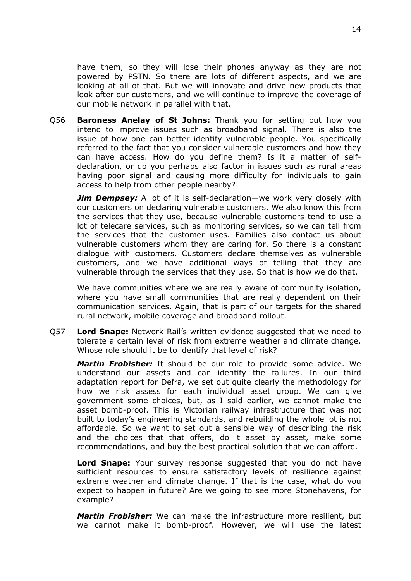have them, so they will lose their phones anyway as they are not powered by PSTN. So there are lots of different aspects, and we are looking at all of that. But we will innovate and drive new products that look after our customers, and we will continue to improve the coverage of our mobile network in parallel with that.

Q56 **Baroness Anelay of St Johns:** Thank you for setting out how you intend to improve issues such as broadband signal. There is also the issue of how one can better identify vulnerable people. You specifically referred to the fact that you consider vulnerable customers and how they can have access. How do you define them? Is it a matter of selfdeclaration, or do you perhaps also factor in issues such as rural areas having poor signal and causing more difficulty for individuals to gain access to help from other people nearby?

*Jim Dempsey:* A lot of it is self-declaration—we work very closely with our customers on declaring vulnerable customers. We also know this from the services that they use, because vulnerable customers tend to use a lot of telecare services, such as monitoring services, so we can tell from the services that the customer uses. Families also contact us about vulnerable customers whom they are caring for. So there is a constant dialogue with customers. Customers declare themselves as vulnerable customers, and we have additional ways of telling that they are vulnerable through the services that they use. So that is how we do that.

We have communities where we are really aware of community isolation, where you have small communities that are really dependent on their communication services. Again, that is part of our targets for the shared rural network, mobile coverage and broadband rollout.

Q57 **Lord Snape:** Network Rail's written evidence suggested that we need to tolerate a certain level of risk from extreme weather and climate change. Whose role should it be to identify that level of risk?

*Martin Frobisher:* It should be our role to provide some advice. We understand our assets and can identify the failures. In our third adaptation report for Defra, we set out quite clearly the methodology for how we risk assess for each individual asset group. We can give government some choices, but, as I said earlier, we cannot make the asset bomb-proof. This is Victorian railway infrastructure that was not built to today's engineering standards, and rebuilding the whole lot is not affordable. So we want to set out a sensible way of describing the risk and the choices that that offers, do it asset by asset, make some recommendations, and buy the best practical solution that we can afford.

**Lord Snape:** Your survey response suggested that you do not have sufficient resources to ensure satisfactory levels of resilience against extreme weather and climate change. If that is the case, what do you expect to happen in future? Are we going to see more Stonehavens, for example?

*Martin Frobisher:* We can make the infrastructure more resilient, but we cannot make it bomb-proof. However, we will use the latest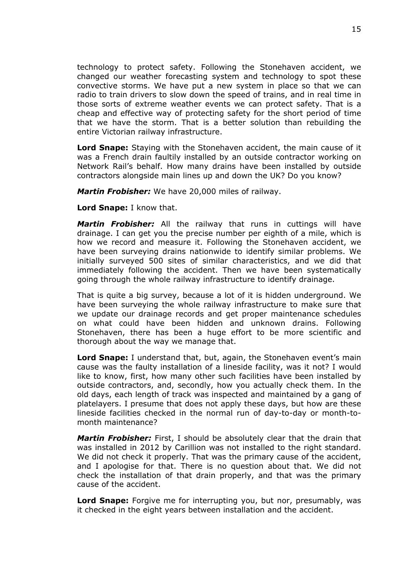technology to protect safety. Following the Stonehaven accident, we changed our weather forecasting system and technology to spot these convective storms. We have put a new system in place so that we can radio to train drivers to slow down the speed of trains, and in real time in those sorts of extreme weather events we can protect safety. That is a cheap and effective way of protecting safety for the short period of time that we have the storm. That is a better solution than rebuilding the entire Victorian railway infrastructure.

**Lord Snape:** Staying with the Stonehaven accident, the main cause of it was a French drain faultily installed by an outside contractor working on Network Rail's behalf. How many drains have been installed by outside contractors alongside main lines up and down the UK? Do you know?

*Martin Frobisher:* We have 20,000 miles of railway.

**Lord Snape:** I know that.

*Martin Frobisher:* All the railway that runs in cuttings will have drainage. I can get you the precise number per eighth of a mile, which is how we record and measure it. Following the Stonehaven accident, we have been surveying drains nationwide to identify similar problems. We initially surveyed 500 sites of similar characteristics, and we did that immediately following the accident. Then we have been systematically going through the whole railway infrastructure to identify drainage.

That is quite a big survey, because a lot of it is hidden underground. We have been surveying the whole railway infrastructure to make sure that we update our drainage records and get proper maintenance schedules on what could have been hidden and unknown drains. Following Stonehaven, there has been a huge effort to be more scientific and thorough about the way we manage that.

**Lord Snape:** I understand that, but, again, the Stonehaven event's main cause was the faulty installation of a lineside facility, was it not? I would like to know, first, how many other such facilities have been installed by outside contractors, and, secondly, how you actually check them. In the old days, each length of track was inspected and maintained by a gang of platelayers. I presume that does not apply these days, but how are these lineside facilities checked in the normal run of day-to-day or month-tomonth maintenance?

*Martin Frobisher:* First, I should be absolutely clear that the drain that was installed in 2012 by Carillion was not installed to the right standard. We did not check it properly. That was the primary cause of the accident, and I apologise for that. There is no question about that. We did not check the installation of that drain properly, and that was the primary cause of the accident.

**Lord Snape:** Forgive me for interrupting you, but nor, presumably, was it checked in the eight years between installation and the accident.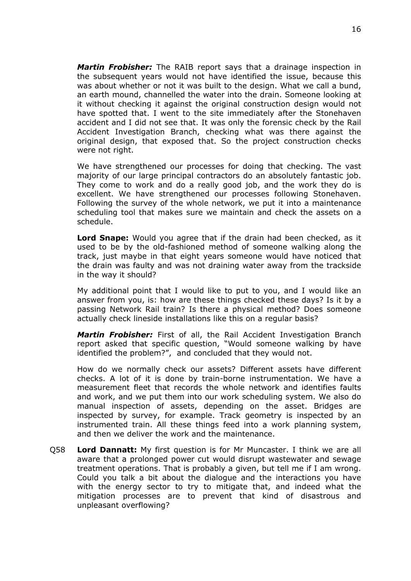*Martin Frobisher:* The RAIB report says that a drainage inspection in the subsequent years would not have identified the issue, because this was about whether or not it was built to the design. What we call a bund, an earth mound, channelled the water into the drain. Someone looking at it without checking it against the original construction design would not have spotted that. I went to the site immediately after the Stonehaven accident and I did not see that. It was only the forensic check by the Rail Accident Investigation Branch, checking what was there against the original design, that exposed that. So the project construction checks were not right.

We have strengthened our processes for doing that checking. The vast majority of our large principal contractors do an absolutely fantastic job. They come to work and do a really good job, and the work they do is excellent. We have strengthened our processes following Stonehaven. Following the survey of the whole network, we put it into a maintenance scheduling tool that makes sure we maintain and check the assets on a schedule.

**Lord Snape:** Would you agree that if the drain had been checked, as it used to be by the old-fashioned method of someone walking along the track, just maybe in that eight years someone would have noticed that the drain was faulty and was not draining water away from the trackside in the way it should?

My additional point that I would like to put to you, and I would like an answer from you, is: how are these things checked these days? Is it by a passing Network Rail train? Is there a physical method? Does someone actually check lineside installations like this on a regular basis?

*Martin Frobisher:* First of all, the Rail Accident Investigation Branch report asked that specific question, "Would someone walking by have identified the problem?", and concluded that they would not.

How do we normally check our assets? Different assets have different checks. A lot of it is done by train-borne instrumentation. We have a measurement fleet that records the whole network and identifies faults and work, and we put them into our work scheduling system. We also do manual inspection of assets, depending on the asset. Bridges are inspected by survey, for example. Track geometry is inspected by an instrumented train. All these things feed into a work planning system, and then we deliver the work and the maintenance.

Q58 **Lord Dannatt:** My first question is for Mr Muncaster. I think we are all aware that a prolonged power cut would disrupt wastewater and sewage treatment operations. That is probably a given, but tell me if I am wrong. Could you talk a bit about the dialogue and the interactions you have with the energy sector to try to mitigate that, and indeed what the mitigation processes are to prevent that kind of disastrous and unpleasant overflowing?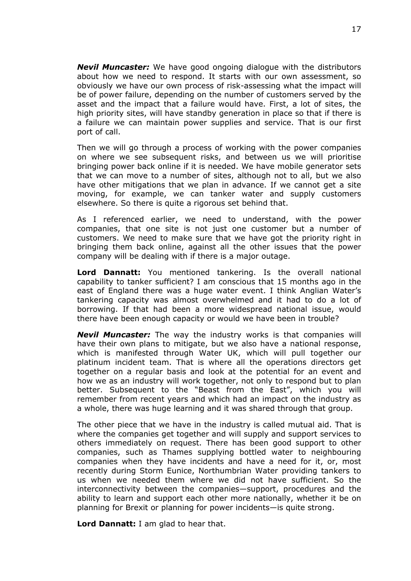*Nevil Muncaster:* We have good ongoing dialogue with the distributors about how we need to respond. It starts with our own assessment, so obviously we have our own process of risk-assessing what the impact will be of power failure, depending on the number of customers served by the asset and the impact that a failure would have. First, a lot of sites, the high priority sites, will have standby generation in place so that if there is a failure we can maintain power supplies and service. That is our first port of call.

Then we will go through a process of working with the power companies on where we see subsequent risks, and between us we will prioritise bringing power back online if it is needed. We have mobile generator sets that we can move to a number of sites, although not to all, but we also have other mitigations that we plan in advance. If we cannot get a site moving, for example, we can tanker water and supply customers elsewhere. So there is quite a rigorous set behind that.

As I referenced earlier, we need to understand, with the power companies, that one site is not just one customer but a number of customers. We need to make sure that we have got the priority right in bringing them back online, against all the other issues that the power company will be dealing with if there is a major outage.

**Lord Dannatt:** You mentioned tankering. Is the overall national capability to tanker sufficient? I am conscious that 15 months ago in the east of England there was a huge water event. I think Anglian Water's tankering capacity was almost overwhelmed and it had to do a lot of borrowing. If that had been a more widespread national issue, would there have been enough capacity or would we have been in trouble?

*Nevil Muncaster:* The way the industry works is that companies will have their own plans to mitigate, but we also have a national response, which is manifested through Water UK, which will pull together our platinum incident team. That is where all the operations directors get together on a regular basis and look at the potential for an event and how we as an industry will work together, not only to respond but to plan better. Subsequent to the "Beast from the East", which you will remember from recent years and which had an impact on the industry as a whole, there was huge learning and it was shared through that group.

The other piece that we have in the industry is called mutual aid. That is where the companies get together and will supply and support services to others immediately on request. There has been good support to other companies, such as Thames supplying bottled water to neighbouring companies when they have incidents and have a need for it, or, most recently during Storm Eunice, Northumbrian Water providing tankers to us when we needed them where we did not have sufficient. So the interconnectivity between the companies—support, procedures and the ability to learn and support each other more nationally, whether it be on planning for Brexit or planning for power incidents—is quite strong.

**Lord Dannatt:** I am glad to hear that.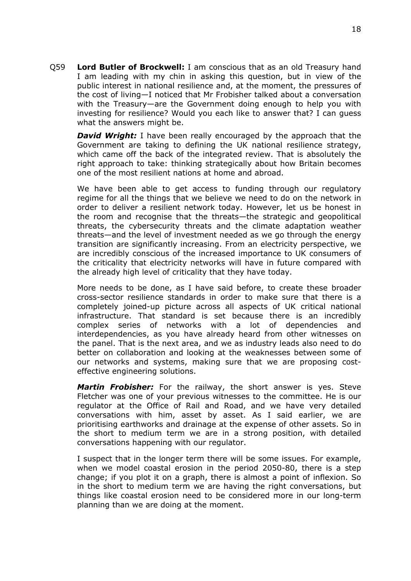Q59 **Lord Butler of Brockwell:** I am conscious that as an old Treasury hand I am leading with my chin in asking this question, but in view of the public interest in national resilience and, at the moment, the pressures of the cost of living—I noticed that Mr Frobisher talked about a conversation with the Treasury—are the Government doing enough to help you with investing for resilience? Would you each like to answer that? I can guess what the answers might be.

*David Wright:* I have been really encouraged by the approach that the Government are taking to defining the UK national resilience strategy, which came off the back of the integrated review. That is absolutely the right approach to take: thinking strategically about how Britain becomes one of the most resilient nations at home and abroad.

We have been able to get access to funding through our regulatory regime for all the things that we believe we need to do on the network in order to deliver a resilient network today. However, let us be honest in the room and recognise that the threats—the strategic and geopolitical threats, the cybersecurity threats and the climate adaptation weather threats—and the level of investment needed as we go through the energy transition are significantly increasing. From an electricity perspective, we are incredibly conscious of the increased importance to UK consumers of the criticality that electricity networks will have in future compared with the already high level of criticality that they have today.

More needs to be done, as I have said before, to create these broader cross-sector resilience standards in order to make sure that there is a completely joined-up picture across all aspects of UK critical national infrastructure. That standard is set because there is an incredibly complex series of networks with a lot of dependencies and interdependencies, as you have already heard from other witnesses on the panel. That is the next area, and we as industry leads also need to do better on collaboration and looking at the weaknesses between some of our networks and systems, making sure that we are proposing costeffective engineering solutions.

*Martin Frobisher:* For the railway, the short answer is yes. Steve Fletcher was one of your previous witnesses to the committee. He is our regulator at the Office of Rail and Road, and we have very detailed conversations with him, asset by asset. As I said earlier, we are prioritising earthworks and drainage at the expense of other assets. So in the short to medium term we are in a strong position, with detailed conversations happening with our regulator.

I suspect that in the longer term there will be some issues. For example, when we model coastal erosion in the period 2050-80, there is a step change; if you plot it on a graph, there is almost a point of inflexion. So in the short to medium term we are having the right conversations, but things like coastal erosion need to be considered more in our long-term planning than we are doing at the moment.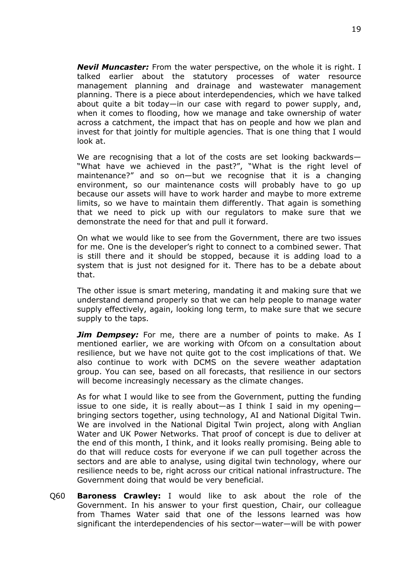*Nevil Muncaster:* From the water perspective, on the whole it is right. I talked earlier about the statutory processes of water resource management planning and drainage and wastewater management planning. There is a piece about interdependencies, which we have talked about quite a bit today—in our case with regard to power supply, and, when it comes to flooding, how we manage and take ownership of water across a catchment, the impact that has on people and how we plan and invest for that jointly for multiple agencies. That is one thing that I would look at.

We are recognising that a lot of the costs are set looking backwards— "What have we achieved in the past?", "What is the right level of maintenance?" and so on—but we recognise that it is a changing environment, so our maintenance costs will probably have to go up because our assets will have to work harder and maybe to more extreme limits, so we have to maintain them differently. That again is something that we need to pick up with our regulators to make sure that we demonstrate the need for that and pull it forward.

On what we would like to see from the Government, there are two issues for me. One is the developer's right to connect to a combined sewer. That is still there and it should be stopped, because it is adding load to a system that is just not designed for it. There has to be a debate about that.

The other issue is smart metering, mandating it and making sure that we understand demand properly so that we can help people to manage water supply effectively, again, looking long term, to make sure that we secure supply to the taps.

*Jim Dempsey:* For me, there are a number of points to make. As I mentioned earlier, we are working with Ofcom on a consultation about resilience, but we have not quite got to the cost implications of that. We also continue to work with DCMS on the severe weather adaptation group. You can see, based on all forecasts, that resilience in our sectors will become increasingly necessary as the climate changes.

As for what I would like to see from the Government, putting the funding issue to one side, it is really about—as I think I said in my opening bringing sectors together, using technology, AI and National Digital Twin. We are involved in the National Digital Twin project, along with Anglian Water and UK Power Networks. That proof of concept is due to deliver at the end of this month, I think, and it looks really promising. Being able to do that will reduce costs for everyone if we can pull together across the sectors and are able to analyse, using digital twin technology, where our resilience needs to be, right across our critical national infrastructure. The Government doing that would be very beneficial.

Q60 **Baroness Crawley:** I would like to ask about the role of the Government. In his answer to your first question, Chair, our colleague from Thames Water said that one of the lessons learned was how significant the interdependencies of his sector—water—will be with power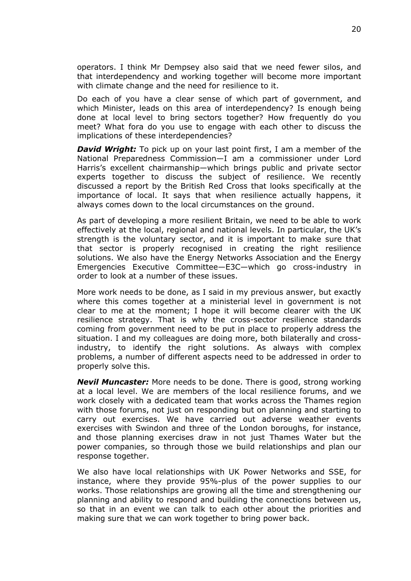operators. I think Mr Dempsey also said that we need fewer silos, and that interdependency and working together will become more important with climate change and the need for resilience to it.

Do each of you have a clear sense of which part of government, and which Minister, leads on this area of interdependency? Is enough being done at local level to bring sectors together? How frequently do you meet? What fora do you use to engage with each other to discuss the implications of these interdependencies?

*David Wright:* To pick up on your last point first, I am a member of the National Preparedness Commission—I am a commissioner under Lord Harris's excellent chairmanship—which brings public and private sector experts together to discuss the subject of resilience. We recently discussed a report by the British Red Cross that looks specifically at the importance of local. It says that when resilience actually happens, it always comes down to the local circumstances on the ground.

As part of developing a more resilient Britain, we need to be able to work effectively at the local, regional and national levels. In particular, the UK's strength is the voluntary sector, and it is important to make sure that that sector is properly recognised in creating the right resilience solutions. We also have the Energy Networks Association and the Energy Emergencies Executive Committee—E3C—which go cross-industry in order to look at a number of these issues.

More work needs to be done, as I said in my previous answer, but exactly where this comes together at a ministerial level in government is not clear to me at the moment; I hope it will become clearer with the UK resilience strategy. That is why the cross-sector resilience standards coming from government need to be put in place to properly address the situation. I and my colleagues are doing more, both bilaterally and crossindustry, to identify the right solutions. As always with complex problems, a number of different aspects need to be addressed in order to properly solve this.

*Nevil Muncaster:* More needs to be done. There is good, strong working at a local level. We are members of the local resilience forums, and we work closely with a dedicated team that works across the Thames region with those forums, not just on responding but on planning and starting to carry out exercises. We have carried out adverse weather events exercises with Swindon and three of the London boroughs, for instance, and those planning exercises draw in not just Thames Water but the power companies, so through those we build relationships and plan our response together.

We also have local relationships with UK Power Networks and SSE, for instance, where they provide 95%-plus of the power supplies to our works. Those relationships are growing all the time and strengthening our planning and ability to respond and building the connections between us, so that in an event we can talk to each other about the priorities and making sure that we can work together to bring power back.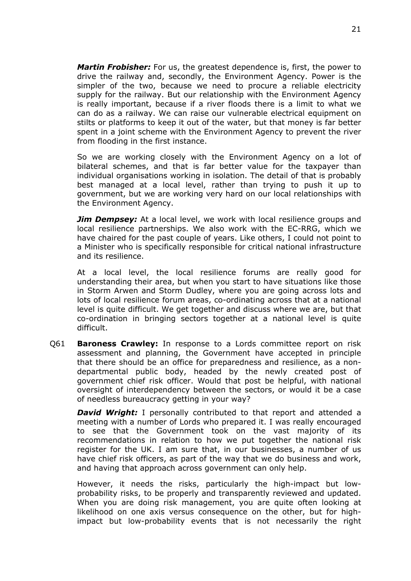*Martin Frobisher:* For us, the greatest dependence is, first, the power to drive the railway and, secondly, the Environment Agency. Power is the simpler of the two, because we need to procure a reliable electricity supply for the railway. But our relationship with the Environment Agency is really important, because if a river floods there is a limit to what we can do as a railway. We can raise our vulnerable electrical equipment on stilts or platforms to keep it out of the water, but that money is far better spent in a joint scheme with the Environment Agency to prevent the river from flooding in the first instance.

So we are working closely with the Environment Agency on a lot of bilateral schemes, and that is far better value for the taxpayer than individual organisations working in isolation. The detail of that is probably best managed at a local level, rather than trying to push it up to government, but we are working very hard on our local relationships with the Environment Agency.

*Jim Dempsey:* At a local level, we work with local resilience groups and local resilience partnerships. We also work with the EC-RRG, which we have chaired for the past couple of years. Like others, I could not point to a Minister who is specifically responsible for critical national infrastructure and its resilience.

At a local level, the local resilience forums are really good for understanding their area, but when you start to have situations like those in Storm Arwen and Storm Dudley, where you are going across lots and lots of local resilience forum areas, co-ordinating across that at a national level is quite difficult. We get together and discuss where we are, but that co-ordination in bringing sectors together at a national level is quite difficult.

Q61 **Baroness Crawley:** In response to a Lords committee report on risk assessment and planning, the Government have accepted in principle that there should be an office for preparedness and resilience, as a nondepartmental public body, headed by the newly created post of government chief risk officer. Would that post be helpful, with national oversight of interdependency between the sectors, or would it be a case of needless bureaucracy getting in your way?

*David Wright:* I personally contributed to that report and attended a meeting with a number of Lords who prepared it. I was really encouraged to see that the Government took on the vast majority of its recommendations in relation to how we put together the national risk register for the UK. I am sure that, in our businesses, a number of us have chief risk officers, as part of the way that we do business and work, and having that approach across government can only help.

However, it needs the risks, particularly the high-impact but lowprobability risks, to be properly and transparently reviewed and updated. When you are doing risk management, you are quite often looking at likelihood on one axis versus consequence on the other, but for highimpact but low-probability events that is not necessarily the right